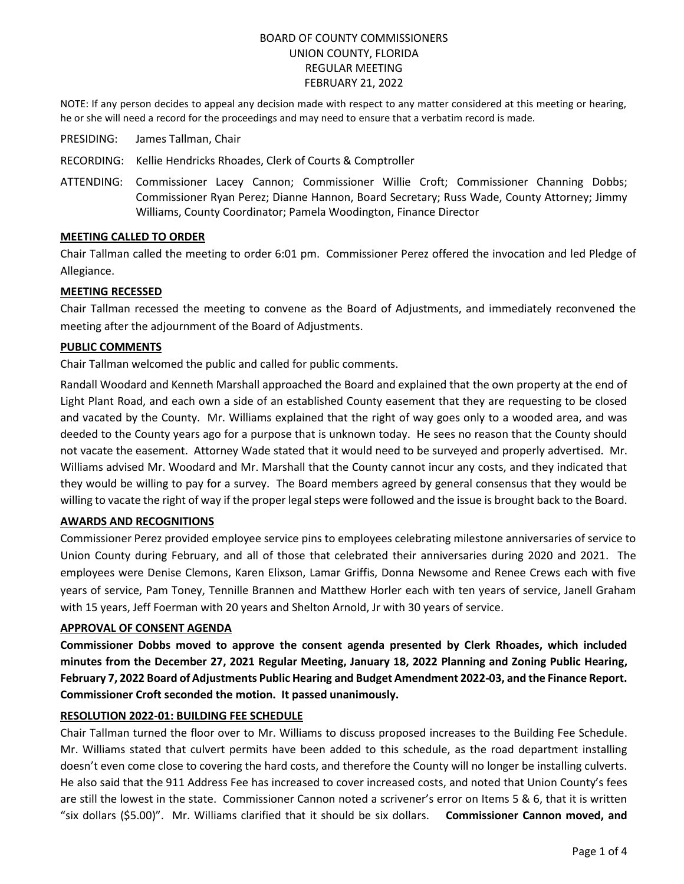# BOARD OF COUNTY COMMISSIONERS UNION COUNTY, FLORIDA REGULAR MEETING FEBRUARY 21, 2022

NOTE: If any person decides to appeal any decision made with respect to any matter considered at this meeting or hearing, he or she will need a record for the proceedings and may need to ensure that a verbatim record is made.

- PRESIDING: James Tallman, Chair
- RECORDING: Kellie Hendricks Rhoades, Clerk of Courts & Comptroller
- ATTENDING: Commissioner Lacey Cannon; Commissioner Willie Croft; Commissioner Channing Dobbs; Commissioner Ryan Perez; Dianne Hannon, Board Secretary; Russ Wade, County Attorney; Jimmy Williams, County Coordinator; Pamela Woodington, Finance Director

### **MEETING CALLED TO ORDER**

Chair Tallman called the meeting to order 6:01 pm. Commissioner Perez offered the invocation and led Pledge of Allegiance.

### **MEETING RECESSED**

Chair Tallman recessed the meeting to convene as the Board of Adjustments, and immediately reconvened the meeting after the adjournment of the Board of Adjustments.

#### **PUBLIC COMMENTS**

Chair Tallman welcomed the public and called for public comments.

Randall Woodard and Kenneth Marshall approached the Board and explained that the own property at the end of Light Plant Road, and each own a side of an established County easement that they are requesting to be closed and vacated by the County. Mr. Williams explained that the right of way goes only to a wooded area, and was deeded to the County years ago for a purpose that is unknown today. He sees no reason that the County should not vacate the easement. Attorney Wade stated that it would need to be surveyed and properly advertised. Mr. Williams advised Mr. Woodard and Mr. Marshall that the County cannot incur any costs, and they indicated that they would be willing to pay for a survey. The Board members agreed by general consensus that they would be willing to vacate the right of way if the proper legal steps were followed and the issue is brought back to the Board.

### **AWARDS AND RECOGNITIONS**

Commissioner Perez provided employee service pins to employees celebrating milestone anniversaries of service to Union County during February, and all of those that celebrated their anniversaries during 2020 and 2021. The employees were Denise Clemons, Karen Elixson, Lamar Griffis, Donna Newsome and Renee Crews each with five years of service, Pam Toney, Tennille Brannen and Matthew Horler each with ten years of service, Janell Graham with 15 years, Jeff Foerman with 20 years and Shelton Arnold, Jr with 30 years of service.

#### **APPROVAL OF CONSENT AGENDA**

**Commissioner Dobbs moved to approve the consent agenda presented by Clerk Rhoades, which included minutes from the December 27, 2021 Regular Meeting, January 18, 2022 Planning and Zoning Public Hearing, February 7, 2022 Board of Adjustments Public Hearing and Budget Amendment 2022-03, and the Finance Report. Commissioner Croft seconded the motion. It passed unanimously.**

#### **RESOLUTION 2022-01: BUILDING FEE SCHEDULE**

Chair Tallman turned the floor over to Mr. Williams to discuss proposed increases to the Building Fee Schedule. Mr. Williams stated that culvert permits have been added to this schedule, as the road department installing doesn't even come close to covering the hard costs, and therefore the County will no longer be installing culverts. He also said that the 911 Address Fee has increased to cover increased costs, and noted that Union County's fees are still the lowest in the state. Commissioner Cannon noted a scrivener's error on Items 5 & 6, that it is written "six dollars (\$5.00)". Mr. Williams clarified that it should be six dollars. **Commissioner Cannon moved, and**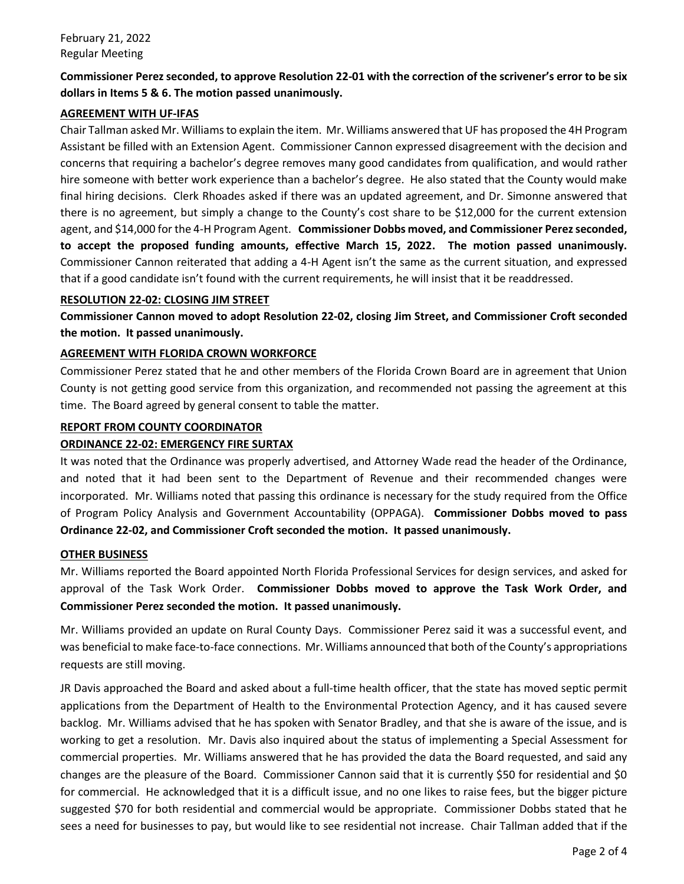# **Commissioner Perez seconded, to approve Resolution 22-01 with the correction of the scrivener's error to be six dollars in Items 5 & 6. The motion passed unanimously.**

# **AGREEMENT WITH UF-IFAS**

Chair Tallman asked Mr. Williams to explain the item. Mr. Williams answered that UF has proposed the 4H Program Assistant be filled with an Extension Agent. Commissioner Cannon expressed disagreement with the decision and concerns that requiring a bachelor's degree removes many good candidates from qualification, and would rather hire someone with better work experience than a bachelor's degree. He also stated that the County would make final hiring decisions. Clerk Rhoades asked if there was an updated agreement, and Dr. Simonne answered that there is no agreement, but simply a change to the County's cost share to be \$12,000 for the current extension agent, and \$14,000 for the 4-H Program Agent. **Commissioner Dobbs moved, and Commissioner Perez seconded, to accept the proposed funding amounts, effective March 15, 2022. The motion passed unanimously.**  Commissioner Cannon reiterated that adding a 4-H Agent isn't the same as the current situation, and expressed that if a good candidate isn't found with the current requirements, he will insist that it be readdressed.

## **RESOLUTION 22-02: CLOSING JIM STREET**

**Commissioner Cannon moved to adopt Resolution 22-02, closing Jim Street, and Commissioner Croft seconded the motion. It passed unanimously.**

# **AGREEMENT WITH FLORIDA CROWN WORKFORCE**

Commissioner Perez stated that he and other members of the Florida Crown Board are in agreement that Union County is not getting good service from this organization, and recommended not passing the agreement at this time. The Board agreed by general consent to table the matter.

## **REPORT FROM COUNTY COORDINATOR**

# **ORDINANCE 22-02: EMERGENCY FIRE SURTAX**

It was noted that the Ordinance was properly advertised, and Attorney Wade read the header of the Ordinance, and noted that it had been sent to the Department of Revenue and their recommended changes were incorporated. Mr. Williams noted that passing this ordinance is necessary for the study required from the Office of Program Policy Analysis and Government Accountability (OPPAGA). **Commissioner Dobbs moved to pass Ordinance 22-02, and Commissioner Croft seconded the motion. It passed unanimously.**

# **OTHER BUSINESS**

Mr. Williams reported the Board appointed North Florida Professional Services for design services, and asked for approval of the Task Work Order. **Commissioner Dobbs moved to approve the Task Work Order, and Commissioner Perez seconded the motion. It passed unanimously.**

Mr. Williams provided an update on Rural County Days. Commissioner Perez said it was a successful event, and was beneficial to make face-to-face connections. Mr. Williams announced that both of the County's appropriations requests are still moving.

JR Davis approached the Board and asked about a full-time health officer, that the state has moved septic permit applications from the Department of Health to the Environmental Protection Agency, and it has caused severe backlog. Mr. Williams advised that he has spoken with Senator Bradley, and that she is aware of the issue, and is working to get a resolution. Mr. Davis also inquired about the status of implementing a Special Assessment for commercial properties. Mr. Williams answered that he has provided the data the Board requested, and said any changes are the pleasure of the Board. Commissioner Cannon said that it is currently \$50 for residential and \$0 for commercial. He acknowledged that it is a difficult issue, and no one likes to raise fees, but the bigger picture suggested \$70 for both residential and commercial would be appropriate. Commissioner Dobbs stated that he sees a need for businesses to pay, but would like to see residential not increase. Chair Tallman added that if the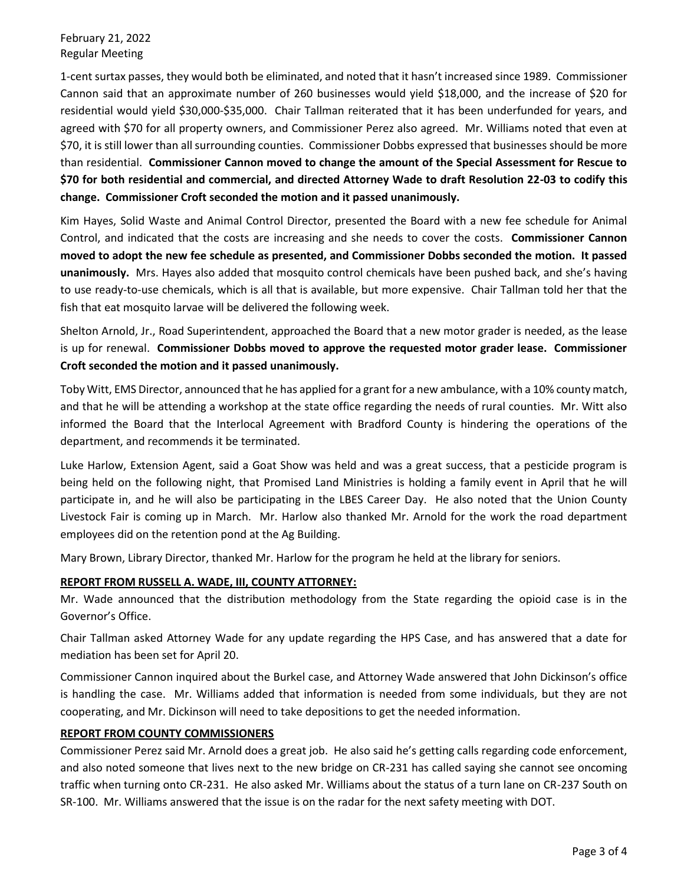February 21, 2022 Regular Meeting

1-cent surtax passes, they would both be eliminated, and noted that it hasn't increased since 1989. Commissioner Cannon said that an approximate number of 260 businesses would yield \$18,000, and the increase of \$20 for residential would yield \$30,000-\$35,000. Chair Tallman reiterated that it has been underfunded for years, and agreed with \$70 for all property owners, and Commissioner Perez also agreed. Mr. Williams noted that even at \$70, it is still lower than all surrounding counties. Commissioner Dobbs expressed that businesses should be more than residential. **Commissioner Cannon moved to change the amount of the Special Assessment for Rescue to \$70 for both residential and commercial, and directed Attorney Wade to draft Resolution 22-03 to codify this change. Commissioner Croft seconded the motion and it passed unanimously.**

Kim Hayes, Solid Waste and Animal Control Director, presented the Board with a new fee schedule for Animal Control, and indicated that the costs are increasing and she needs to cover the costs. **Commissioner Cannon moved to adopt the new fee schedule as presented, and Commissioner Dobbs seconded the motion. It passed unanimously.** Mrs. Hayes also added that mosquito control chemicals have been pushed back, and she's having to use ready-to-use chemicals, which is all that is available, but more expensive. Chair Tallman told her that the fish that eat mosquito larvae will be delivered the following week.

Shelton Arnold, Jr., Road Superintendent, approached the Board that a new motor grader is needed, as the lease is up for renewal. **Commissioner Dobbs moved to approve the requested motor grader lease. Commissioner Croft seconded the motion and it passed unanimously.**

Toby Witt, EMS Director, announced that he has applied for a grant for a new ambulance, with a 10% county match, and that he will be attending a workshop at the state office regarding the needs of rural counties. Mr. Witt also informed the Board that the Interlocal Agreement with Bradford County is hindering the operations of the department, and recommends it be terminated.

Luke Harlow, Extension Agent, said a Goat Show was held and was a great success, that a pesticide program is being held on the following night, that Promised Land Ministries is holding a family event in April that he will participate in, and he will also be participating in the LBES Career Day. He also noted that the Union County Livestock Fair is coming up in March. Mr. Harlow also thanked Mr. Arnold for the work the road department employees did on the retention pond at the Ag Building.

Mary Brown, Library Director, thanked Mr. Harlow for the program he held at the library for seniors.

# **REPORT FROM RUSSELL A. WADE, III, COUNTY ATTORNEY:**

Mr. Wade announced that the distribution methodology from the State regarding the opioid case is in the Governor's Office.

Chair Tallman asked Attorney Wade for any update regarding the HPS Case, and has answered that a date for mediation has been set for April 20.

Commissioner Cannon inquired about the Burkel case, and Attorney Wade answered that John Dickinson's office is handling the case. Mr. Williams added that information is needed from some individuals, but they are not cooperating, and Mr. Dickinson will need to take depositions to get the needed information.

### **REPORT FROM COUNTY COMMISSIONERS**

Commissioner Perez said Mr. Arnold does a great job. He also said he's getting calls regarding code enforcement, and also noted someone that lives next to the new bridge on CR-231 has called saying she cannot see oncoming traffic when turning onto CR-231. He also asked Mr. Williams about the status of a turn lane on CR-237 South on SR-100. Mr. Williams answered that the issue is on the radar for the next safety meeting with DOT.